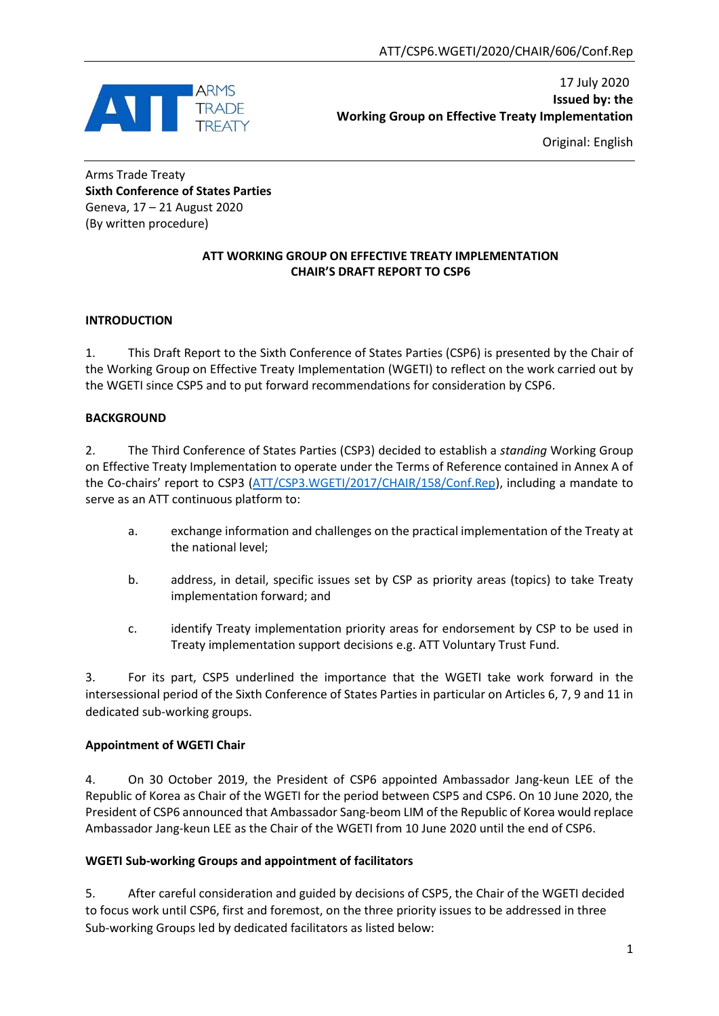

17 July 2020 **Issued by: the Working Group on Effective Treaty Implementation**

Original: English

Arms Trade Treaty **Sixth Conference of States Parties** Geneva, 17 – 21 August 2020 (By written procedure)

## **ATT WORKING GROUP ON EFFECTIVE TREATY IMPLEMENTATION CHAIR'S DRAFT REPORT TO CSP6**

## **INTRODUCTION**

1. This Draft Report to the Sixth Conference of States Parties (CSP6) is presented by the Chair of the Working Group on Effective Treaty Implementation (WGETI) to reflect on the work carried out by the WGETI since CSP5 and to put forward recommendations for consideration by CSP6.

## **BACKGROUND**

2. The Third Conference of States Parties (CSP3) decided to establish a *standing* Working Group on Effective Treaty Implementation to operate under the Terms of Reference contained in Annex A of the Co-chairs' report to CSP3 ([ATT/CSP3.WGETI/2017/CHAIR/158/Conf.Rep\)](http://www.thearmstradetreaty.org/images/CSP3_Documents/Conference_Documents/WGETI_-_Draft_Report_to_CSP3_-_EN.pdf), including a mandate to serve as an ATT continuous platform to:

- a. exchange information and challenges on the practical implementation of the Treaty at the national level;
- b. address, in detail, specific issues set by CSP as priority areas (topics) to take Treaty implementation forward; and
- c. identify Treaty implementation priority areas for endorsement by CSP to be used in Treaty implementation support decisions e.g. ATT Voluntary Trust Fund.

3. For its part, CSP5 underlined the importance that the WGETI take work forward in the intersessional period of the Sixth Conference of States Parties in particular on Articles 6, 7, 9 and 11 in dedicated sub-working groups.

## **Appointment of WGETI Chair**

4. On 30 October 2019, the President of CSP6 appointed Ambassador Jang-keun LEE of the Republic of Korea as Chair of the WGETI for the period between CSP5 and CSP6. On 10 June 2020, the President of CSP6 announced that Ambassador Sang-beom LIM of the Republic of Korea would replace Ambassador Jang-keun LEE as the Chair of the WGETI from 10 June 2020 until the end of CSP6.

## **WGETI Sub-working Groups and appointment of facilitators**

5. After careful consideration and guided by decisions of CSP5, the Chair of the WGETI decided to focus work until CSP6, first and foremost, on the three priority issues to be addressed in three Sub-working Groups led by dedicated facilitators as listed below: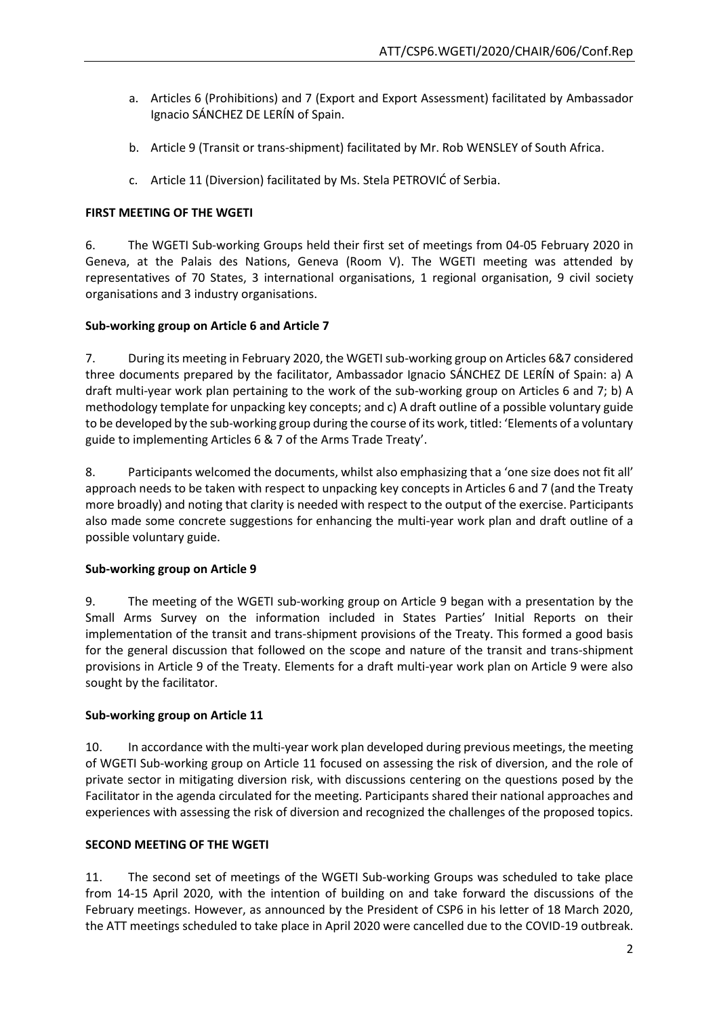- a. Articles 6 (Prohibitions) and 7 (Export and Export Assessment) facilitated by Ambassador Ignacio SÁNCHEZ DE LERÍN of Spain.
- b. Article 9 (Transit or trans-shipment) facilitated by Mr. Rob WENSLEY of South Africa.
- c. Article 11 (Diversion) facilitated by Ms. Stela PETROVIĆ of Serbia.

### **FIRST MEETING OF THE WGETI**

6. The WGETI Sub-working Groups held their first set of meetings from 04-05 February 2020 in Geneva, at the Palais des Nations, Geneva (Room V). The WGETI meeting was attended by representatives of 70 States, 3 international organisations, 1 regional organisation, 9 civil society organisations and 3 industry organisations.

## **Sub-working group on Article 6 and Article 7**

7. During its meeting in February 2020, the WGETI sub-working group on Articles 6&7 considered three documents prepared by the facilitator, Ambassador Ignacio SÁNCHEZ DE LERÍN of Spain: a) A draft multi-year work plan pertaining to the work of the sub-working group on Articles 6 and 7; b) A methodology template for unpacking key concepts; and c) A draft outline of a possible voluntary guide to be developed by the sub-working group during the course of its work, titled: 'Elements of a voluntary guide to implementing Articles 6 & 7 of the Arms Trade Treaty'.

8. Participants welcomed the documents, whilst also emphasizing that a 'one size does not fit all' approach needs to be taken with respect to unpacking key concepts in Articles 6 and 7 (and the Treaty more broadly) and noting that clarity is needed with respect to the output of the exercise. Participants also made some concrete suggestions for enhancing the multi-year work plan and draft outline of a possible voluntary guide.

## **Sub-working group on Article 9**

9. The meeting of the WGETI sub-working group on Article 9 began with a presentation by the Small Arms Survey on the information included in States Parties' Initial Reports on their implementation of the transit and trans-shipment provisions of the Treaty. This formed a good basis for the general discussion that followed on the scope and nature of the transit and trans-shipment provisions in Article 9 of the Treaty. Elements for a draft multi-year work plan on Article 9 were also sought by the facilitator.

## **Sub-working group on Article 11**

10. In accordance with the multi-year work plan developed during previous meetings, the meeting of WGETI Sub-working group on Article 11 focused on assessing the risk of diversion, and the role of private sector in mitigating diversion risk, with discussions centering on the questions posed by the Facilitator in the agenda circulated for the meeting. Participants shared their national approaches and experiences with assessing the risk of diversion and recognized the challenges of the proposed topics.

### **SECOND MEETING OF THE WGETI**

11. The second set of meetings of the WGETI Sub-working Groups was scheduled to take place from 14-15 April 2020, with the intention of building on and take forward the discussions of the February meetings. However, as announced by the President of CSP6 in his letter of 18 March 2020, the ATT meetings scheduled to take place in April 2020 were cancelled due to the COVID-19 outbreak.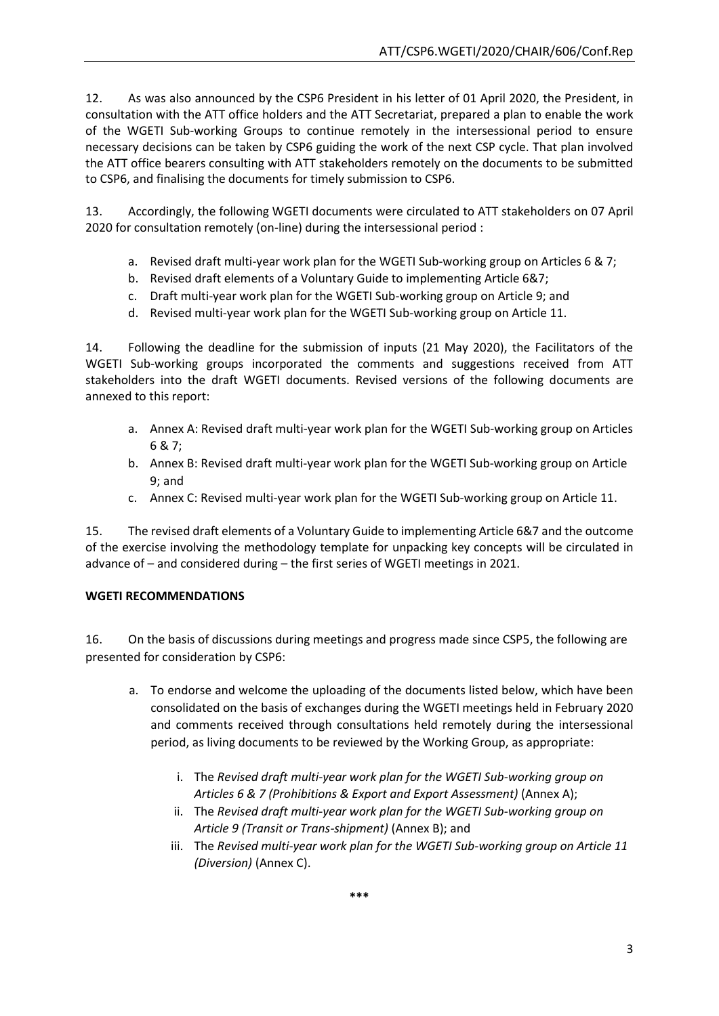12. As was also announced by the CSP6 President in his letter of 01 April 2020, the President, in consultation with the ATT office holders and the ATT Secretariat, prepared a plan to enable the work of the WGETI Sub-working Groups to continue remotely in the intersessional period to ensure necessary decisions can be taken by CSP6 guiding the work of the next CSP cycle. That plan involved the ATT office bearers consulting with ATT stakeholders remotely on the documents to be submitted to CSP6, and finalising the documents for timely submission to CSP6.

13. Accordingly, the following WGETI documents were circulated to ATT stakeholders on 07 April 2020 for consultation remotely (on-line) during the intersessional period :

- a. Revised draft multi-year work plan for the WGETI Sub-working group on Articles 6 & 7;
- b. Revised draft elements of a Voluntary Guide to implementing Article 6&7;
- c. Draft multi-year work plan for the WGETI Sub-working group on Article 9; and
- d. Revised multi-year work plan for the WGETI Sub-working group on Article 11.

14. Following the deadline for the submission of inputs (21 May 2020), the Facilitators of the WGETI Sub-working groups incorporated the comments and suggestions received from ATT stakeholders into the draft WGETI documents. Revised versions of the following documents are annexed to this report:

- a. Annex A: Revised draft multi-year work plan for the WGETI Sub-working group on Articles 6 & 7;
- b. Annex B: Revised draft multi-year work plan for the WGETI Sub-working group on Article 9; and
- c. Annex C: Revised multi-year work plan for the WGETI Sub-working group on Article 11.

15. The revised draft elements of a Voluntary Guide to implementing Article 6&7 and the outcome of the exercise involving the methodology template for unpacking key concepts will be circulated in advance of – and considered during – the first series of WGETI meetings in 2021.

## **WGETI RECOMMENDATIONS**

16. On the basis of discussions during meetings and progress made since CSP5, the following are presented for consideration by CSP6:

- a. To endorse and welcome the uploading of the documents listed below, which have been consolidated on the basis of exchanges during the WGETI meetings held in February 2020 and comments received through consultations held remotely during the intersessional period, as living documents to be reviewed by the Working Group, as appropriate:
	- i. The *Revised draft multi-year work plan for the WGETI Sub-working group on Articles 6 & 7 (Prohibitions & Export and Export Assessment)* (Annex A);
	- ii. The *Revised draft multi-year work plan for the WGETI Sub-working group on Article 9 (Transit or Trans-shipment)* (Annex B); and
	- iii. The *Revised multi-year work plan for the WGETI Sub-working group on Article 11 (Diversion)* (Annex C).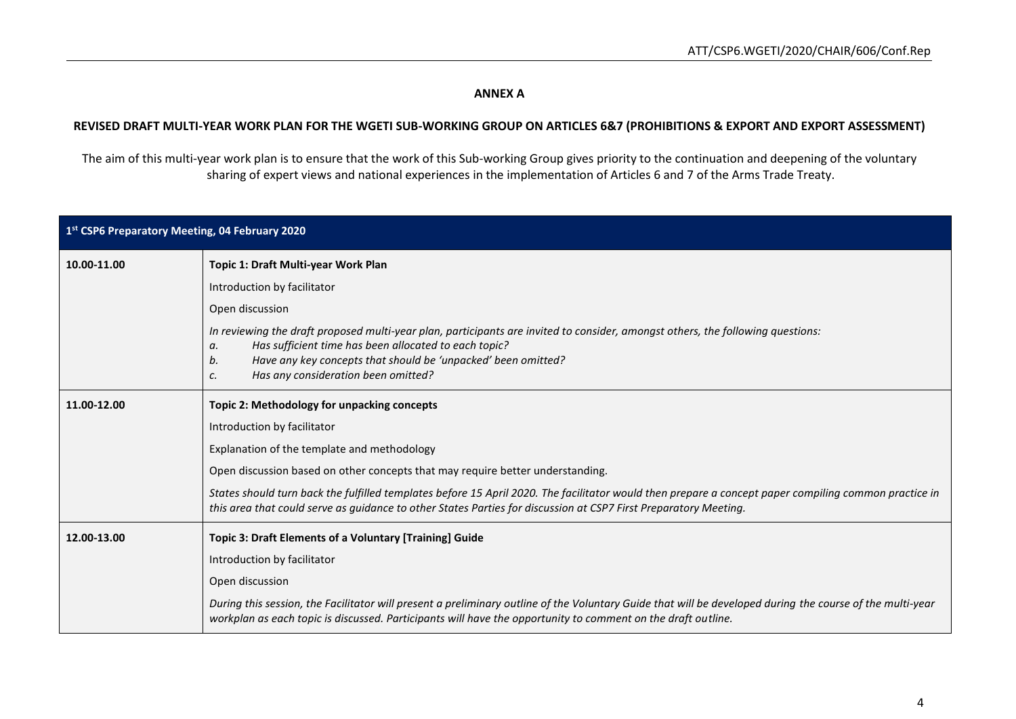## **ANNEX A**

#### **REVISED DRAFT MULTI-YEAR WORK PLAN FOR THE WGETI SUB-WORKING GROUP ON ARTICLES 6&7 (PROHIBITIONS & EXPORT AND EXPORT ASSESSMENT)**

The aim of this multi-year work plan is to ensure that the work of this Sub-working Group gives priority to the continuation and deepening of the voluntary sharing of expert views and national experiences in the implementation of Articles 6 and 7 of the Arms Trade Treaty.

| 1st CSP6 Preparatory Meeting, 04 February 2020                         |                                                                                                                                                                                                                                                                                                                    |  |
|------------------------------------------------------------------------|--------------------------------------------------------------------------------------------------------------------------------------------------------------------------------------------------------------------------------------------------------------------------------------------------------------------|--|
| 10.00-11.00                                                            | Topic 1: Draft Multi-year Work Plan                                                                                                                                                                                                                                                                                |  |
|                                                                        | Introduction by facilitator                                                                                                                                                                                                                                                                                        |  |
|                                                                        | Open discussion                                                                                                                                                                                                                                                                                                    |  |
|                                                                        | In reviewing the draft proposed multi-year plan, participants are invited to consider, amongst others, the following questions:<br>Has sufficient time has been allocated to each topic?<br>а.<br>Have any key concepts that should be 'unpacked' been omitted?<br>b.<br>Has any consideration been omitted?<br>c. |  |
| 11.00-12.00                                                            | Topic 2: Methodology for unpacking concepts                                                                                                                                                                                                                                                                        |  |
|                                                                        | Introduction by facilitator                                                                                                                                                                                                                                                                                        |  |
|                                                                        | Explanation of the template and methodology                                                                                                                                                                                                                                                                        |  |
|                                                                        | Open discussion based on other concepts that may require better understanding.                                                                                                                                                                                                                                     |  |
|                                                                        | States should turn back the fulfilled templates before 15 April 2020. The facilitator would then prepare a concept paper compiling common practice in<br>this area that could serve as guidance to other States Parties for discussion at CSP7 First Preparatory Meeting.                                          |  |
| 12.00-13.00<br>Topic 3: Draft Elements of a Voluntary [Training] Guide |                                                                                                                                                                                                                                                                                                                    |  |
|                                                                        | Introduction by facilitator                                                                                                                                                                                                                                                                                        |  |
|                                                                        | Open discussion                                                                                                                                                                                                                                                                                                    |  |
|                                                                        | During this session, the Facilitator will present a preliminary outline of the Voluntary Guide that will be developed during the course of the multi-year<br>workplan as each topic is discussed. Participants will have the opportunity to comment on the draft outline.                                          |  |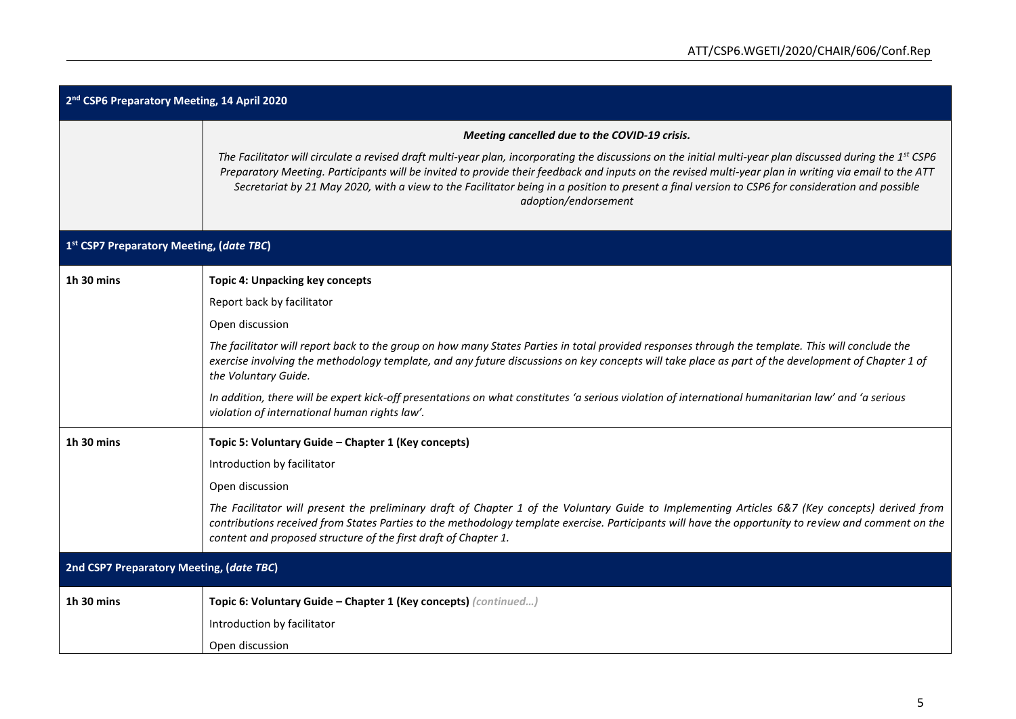| 2 <sup>nd</sup> CSP6 Preparatory Meeting, 14 April 2020 |                                                                                                                                                                                                                                                                                                                                                                                                                                                                                                             |  |
|---------------------------------------------------------|-------------------------------------------------------------------------------------------------------------------------------------------------------------------------------------------------------------------------------------------------------------------------------------------------------------------------------------------------------------------------------------------------------------------------------------------------------------------------------------------------------------|--|
|                                                         | Meeting cancelled due to the COVID-19 crisis.                                                                                                                                                                                                                                                                                                                                                                                                                                                               |  |
|                                                         | The Facilitator will circulate a revised draft multi-year plan, incorporating the discussions on the initial multi-year plan discussed during the 1 <sup>st</sup> CSP6<br>Preparatory Meeting. Participants will be invited to provide their feedback and inputs on the revised multi-year plan in writing via email to the ATT<br>Secretariat by 21 May 2020, with a view to the Facilitator being in a position to present a final version to CSP6 for consideration and possible<br>adoption/endorsement |  |
| 1st CSP7 Preparatory Meeting, (date TBC)                |                                                                                                                                                                                                                                                                                                                                                                                                                                                                                                             |  |
| 1h 30 mins                                              | <b>Topic 4: Unpacking key concepts</b>                                                                                                                                                                                                                                                                                                                                                                                                                                                                      |  |
|                                                         | Report back by facilitator                                                                                                                                                                                                                                                                                                                                                                                                                                                                                  |  |
|                                                         | Open discussion                                                                                                                                                                                                                                                                                                                                                                                                                                                                                             |  |
|                                                         | The facilitator will report back to the group on how many States Parties in total provided responses through the template. This will conclude the<br>exercise involving the methodology template, and any future discussions on key concepts will take place as part of the development of Chapter 1 of<br>the Voluntary Guide.                                                                                                                                                                             |  |
|                                                         | In addition, there will be expert kick-off presentations on what constitutes 'a serious violation of international humanitarian law' and 'a serious<br>violation of international human rights law'.                                                                                                                                                                                                                                                                                                        |  |
| 1h 30 mins                                              | Topic 5: Voluntary Guide - Chapter 1 (Key concepts)                                                                                                                                                                                                                                                                                                                                                                                                                                                         |  |
|                                                         | Introduction by facilitator                                                                                                                                                                                                                                                                                                                                                                                                                                                                                 |  |
|                                                         | Open discussion                                                                                                                                                                                                                                                                                                                                                                                                                                                                                             |  |
|                                                         | The Facilitator will present the preliminary draft of Chapter 1 of the Voluntary Guide to Implementing Articles 6&7 (Key concepts) derived from<br>contributions received from States Parties to the methodology template exercise. Participants will have the opportunity to review and comment on the<br>content and proposed structure of the first draft of Chapter 1.                                                                                                                                  |  |
| 2nd CSP7 Preparatory Meeting, (date TBC)                |                                                                                                                                                                                                                                                                                                                                                                                                                                                                                                             |  |
| 1h 30 mins                                              | Topic 6: Voluntary Guide - Chapter 1 (Key concepts) (continued)                                                                                                                                                                                                                                                                                                                                                                                                                                             |  |
|                                                         | Introduction by facilitator                                                                                                                                                                                                                                                                                                                                                                                                                                                                                 |  |
|                                                         | Open discussion                                                                                                                                                                                                                                                                                                                                                                                                                                                                                             |  |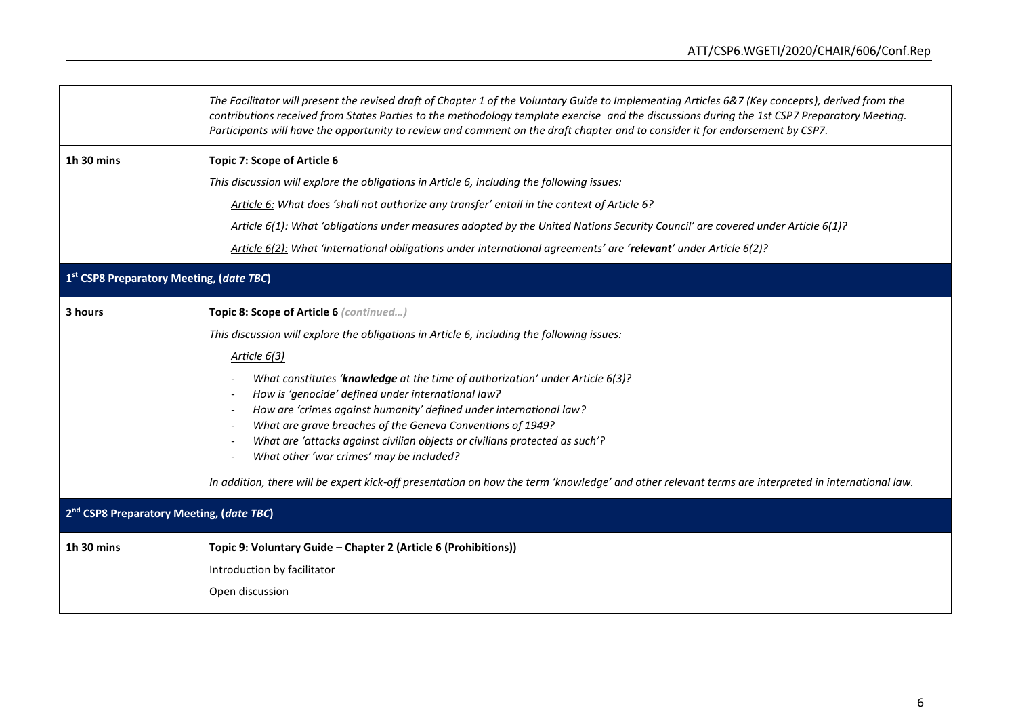|                                                      | The Facilitator will present the revised draft of Chapter 1 of the Voluntary Guide to Implementing Articles 6&7 (Key concepts), derived from the<br>contributions received from States Parties to the methodology template exercise and the discussions during the 1st CSP7 Preparatory Meeting.<br>Participants will have the opportunity to review and comment on the draft chapter and to consider it for endorsement by CSP7.                                                                                                                                                                                                                                                                                                                                                                     |  |
|------------------------------------------------------|-------------------------------------------------------------------------------------------------------------------------------------------------------------------------------------------------------------------------------------------------------------------------------------------------------------------------------------------------------------------------------------------------------------------------------------------------------------------------------------------------------------------------------------------------------------------------------------------------------------------------------------------------------------------------------------------------------------------------------------------------------------------------------------------------------|--|
| 1h 30 mins                                           | Topic 7: Scope of Article 6<br>This discussion will explore the obligations in Article 6, including the following issues:<br>Article 6: What does 'shall not authorize any transfer' entail in the context of Article 6?<br>Article 6(1): What 'obligations under measures adopted by the United Nations Security Council' are covered under Article 6(1)?<br>Article 6(2): What 'international obligations under international agreements' are 'relevant' under Article 6(2)?                                                                                                                                                                                                                                                                                                                        |  |
| 1st CSP8 Preparatory Meeting, (date TBC)             |                                                                                                                                                                                                                                                                                                                                                                                                                                                                                                                                                                                                                                                                                                                                                                                                       |  |
| 3 hours                                              | Topic 8: Scope of Article 6 (continued)<br>This discussion will explore the obligations in Article 6, including the following issues:<br>Article 6(3)<br>What constitutes 'knowledge at the time of authorization' under Article 6(3)?<br>How is 'genocide' defined under international law?<br>How are 'crimes against humanity' defined under international law?<br>$\overline{\phantom{a}}$<br>What are grave breaches of the Geneva Conventions of 1949?<br>$\overline{\phantom{a}}$<br>What are 'attacks against civilian objects or civilians protected as such'?<br>$\overline{\phantom{a}}$<br>What other 'war crimes' may be included?<br>In addition, there will be expert kick-off presentation on how the term 'knowledge' and other relevant terms are interpreted in international law. |  |
| 2 <sup>nd</sup> CSP8 Preparatory Meeting, (date TBC) |                                                                                                                                                                                                                                                                                                                                                                                                                                                                                                                                                                                                                                                                                                                                                                                                       |  |
| 1h 30 mins                                           | Topic 9: Voluntary Guide - Chapter 2 (Article 6 (Prohibitions))<br>Introduction by facilitator<br>Open discussion                                                                                                                                                                                                                                                                                                                                                                                                                                                                                                                                                                                                                                                                                     |  |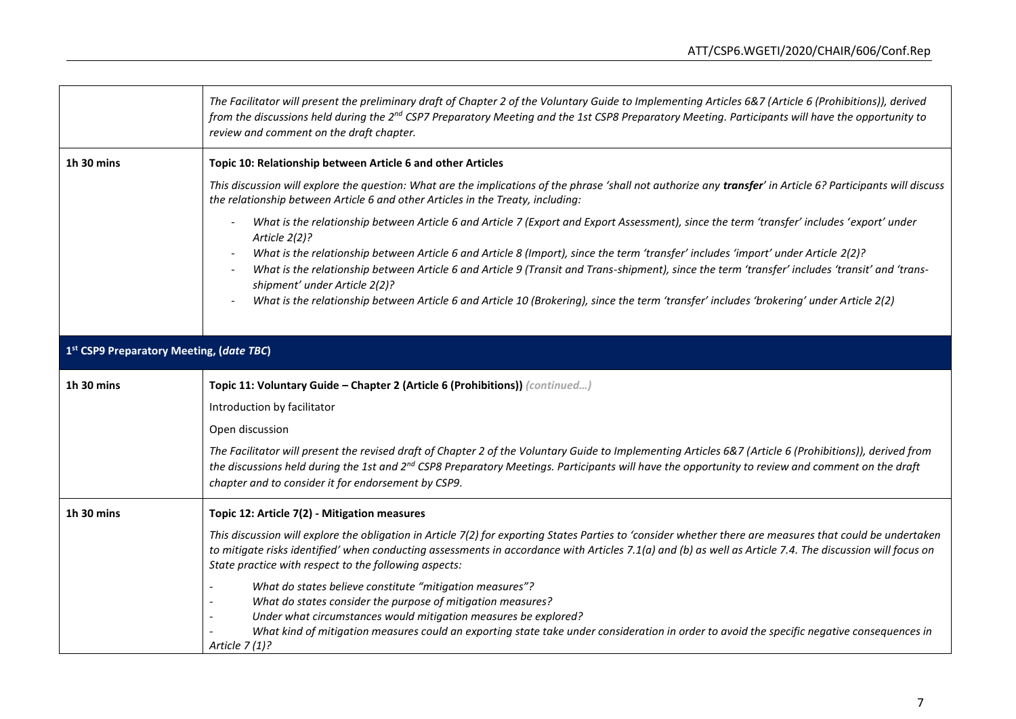|                                                            | The Facilitator will present the preliminary draft of Chapter 2 of the Voluntary Guide to Implementing Articles 6&7 (Article 6 (Prohibitions)), derived<br>from the discussions held during the 2 <sup>nd</sup> CSP7 Preparatory Meeting and the 1st CSP8 Preparatory Meeting. Participants will have the opportunity to<br>review and comment on the draft chapter.            |  |
|------------------------------------------------------------|---------------------------------------------------------------------------------------------------------------------------------------------------------------------------------------------------------------------------------------------------------------------------------------------------------------------------------------------------------------------------------|--|
| 1h 30 mins                                                 | Topic 10: Relationship between Article 6 and other Articles                                                                                                                                                                                                                                                                                                                     |  |
|                                                            | This discussion will explore the question: What are the implications of the phrase 'shall not authorize any transfer' in Article 6? Participants will discuss<br>the relationship between Article 6 and other Articles in the Treaty, including:                                                                                                                                |  |
|                                                            | What is the relationship between Article 6 and Article 7 (Export and Export Assessment), since the term 'transfer' includes 'export' under<br>Article 2(2)?                                                                                                                                                                                                                     |  |
|                                                            | What is the relationship between Article 6 and Article 8 (Import), since the term 'transfer' includes 'import' under Article 2(2)?<br>What is the relationship between Article 6 and Article 9 (Transit and Trans-shipment), since the term 'transfer' includes 'transit' and 'trans-<br>shipment' under Article 2(2)?                                                          |  |
|                                                            | What is the relationship between Article 6 and Article 10 (Brokering), since the term 'transfer' includes 'brokering' under Article 2(2)                                                                                                                                                                                                                                        |  |
| 1st CSP9 Preparatory Meeting, (date TBC)                   |                                                                                                                                                                                                                                                                                                                                                                                 |  |
| 1h 30 mins                                                 | Topic 11: Voluntary Guide - Chapter 2 (Article 6 (Prohibitions)) (continued)                                                                                                                                                                                                                                                                                                    |  |
|                                                            | Introduction by facilitator                                                                                                                                                                                                                                                                                                                                                     |  |
|                                                            | Open discussion                                                                                                                                                                                                                                                                                                                                                                 |  |
|                                                            | The Facilitator will present the revised draft of Chapter 2 of the Voluntary Guide to Implementing Articles 6&7 (Article 6 (Prohibitions)), derived from<br>the discussions held during the 1st and 2 <sup>nd</sup> CSP8 Preparatory Meetings. Participants will have the opportunity to review and comment on the draft<br>chapter and to consider it for endorsement by CSP9. |  |
| 1h 30 mins<br>Topic 12: Article 7(2) - Mitigation measures |                                                                                                                                                                                                                                                                                                                                                                                 |  |
|                                                            | This discussion will explore the obligation in Article 7(2) for exporting States Parties to 'consider whether there are measures that could be undertaken<br>to mitigate risks identified' when conducting assessments in accordance with Articles 7.1(a) and (b) as well as Article 7.4. The discussion will focus on<br>State practice with respect to the following aspects: |  |
|                                                            | What do states believe constitute "mitigation measures"?<br>What do states consider the purpose of mitigation measures?<br>Under what circumstances would mitigation measures be explored?<br>What kind of mitigation measures could an exporting state take under consideration in order to avoid the specific negative consequences in<br>Article $7(1)$ ?                    |  |

 $\mathbf{r}$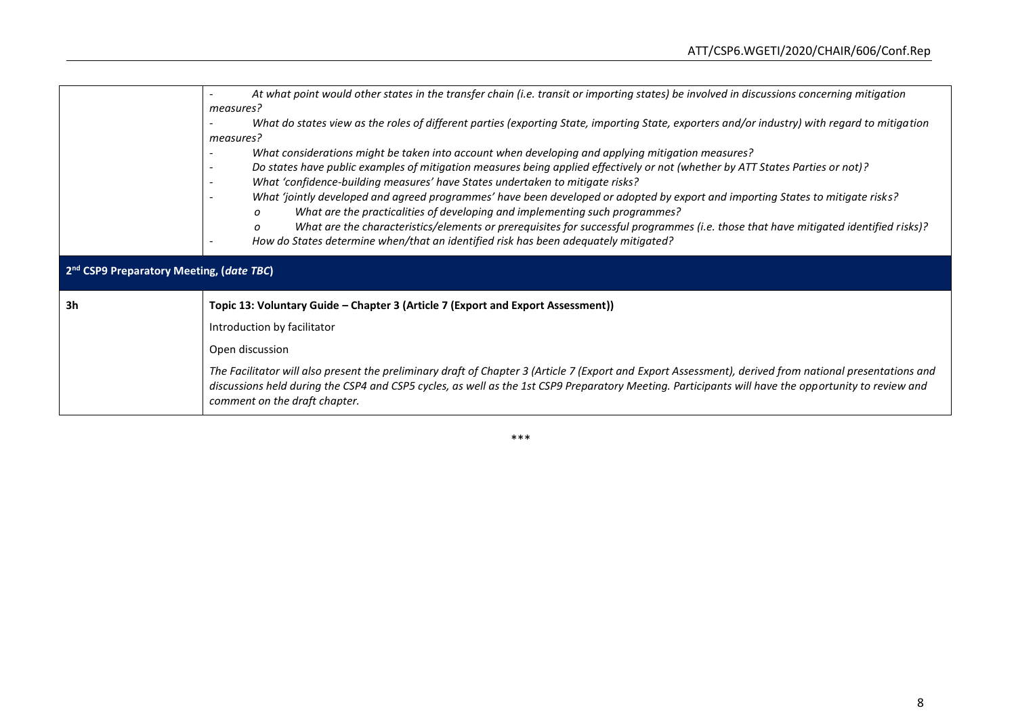|                                                      | At what point would other states in the transfer chain (i.e. transit or importing states) be involved in discussions concerning mitigation<br>measures?<br>What do states view as the roles of different parties (exporting State, importing State, exporters and/or industry) with regard to mitigation                                                                                                                                                                                                                                                                                                                                                                                                                                                                                    |  |
|------------------------------------------------------|---------------------------------------------------------------------------------------------------------------------------------------------------------------------------------------------------------------------------------------------------------------------------------------------------------------------------------------------------------------------------------------------------------------------------------------------------------------------------------------------------------------------------------------------------------------------------------------------------------------------------------------------------------------------------------------------------------------------------------------------------------------------------------------------|--|
|                                                      | measures?<br>What considerations might be taken into account when developing and applying mitigation measures?<br>Do states have public examples of mitigation measures being applied effectively or not (whether by ATT States Parties or not)?<br>What 'confidence-building measures' have States undertaken to mitigate risks?<br>What 'jointly developed and agreed programmes' have been developed or adopted by export and importing States to mitigate risks?<br>What are the practicalities of developing and implementing such programmes?<br>O<br>What are the characteristics/elements or prerequisites for successful programmes (i.e. those that have mitigated identified risks)?<br>O<br>How do States determine when/that an identified risk has been adequately mitigated? |  |
| 2 <sup>nd</sup> CSP9 Preparatory Meeting, (date TBC) |                                                                                                                                                                                                                                                                                                                                                                                                                                                                                                                                                                                                                                                                                                                                                                                             |  |
| 3h                                                   | Topic 13: Voluntary Guide - Chapter 3 (Article 7 (Export and Export Assessment))                                                                                                                                                                                                                                                                                                                                                                                                                                                                                                                                                                                                                                                                                                            |  |
|                                                      | Introduction by facilitator                                                                                                                                                                                                                                                                                                                                                                                                                                                                                                                                                                                                                                                                                                                                                                 |  |
|                                                      | Open discussion                                                                                                                                                                                                                                                                                                                                                                                                                                                                                                                                                                                                                                                                                                                                                                             |  |
|                                                      | The Facilitator will also present the preliminary draft of Chapter 3 (Article 7 (Export and Export Assessment), derived from national presentations and<br>discussions held during the CSP4 and CSP5 cycles, as well as the 1st CSP9 Preparatory Meeting. Participants will have the opportunity to review and<br>comment on the draft chapter.                                                                                                                                                                                                                                                                                                                                                                                                                                             |  |

\*\*\*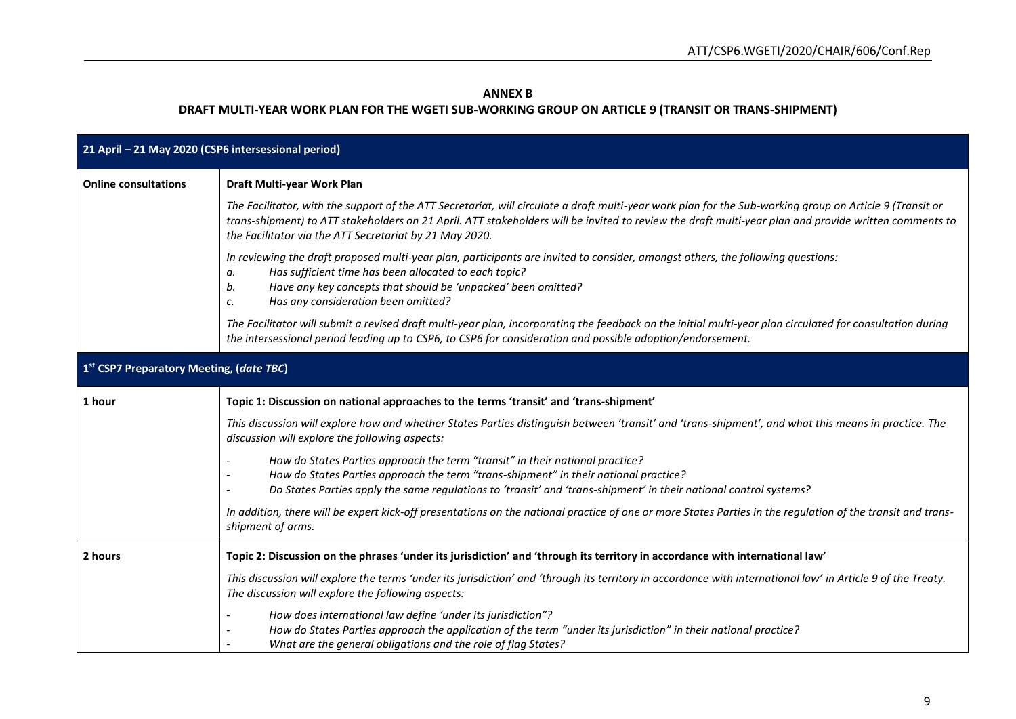### **ANNEX B**

# **DRAFT MULTI-YEAR WORK PLAN FOR THE WGETI SUB-WORKING GROUP ON ARTICLE 9 (TRANSIT OR TRANS-SHIPMENT)**

| 21 April - 21 May 2020 (CSP6 intersessional period)       |                                                                                                                                                                                                                                                                                                                                                                              |  |
|-----------------------------------------------------------|------------------------------------------------------------------------------------------------------------------------------------------------------------------------------------------------------------------------------------------------------------------------------------------------------------------------------------------------------------------------------|--|
| Draft Multi-year Work Plan<br><b>Online consultations</b> |                                                                                                                                                                                                                                                                                                                                                                              |  |
|                                                           | The Facilitator, with the support of the ATT Secretariat, will circulate a draft multi-year work plan for the Sub-working group on Article 9 (Transit or<br>trans-shipment) to ATT stakeholders on 21 April. ATT stakeholders will be invited to review the draft multi-year plan and provide written comments to<br>the Facilitator via the ATT Secretariat by 21 May 2020. |  |
|                                                           | In reviewing the draft proposed multi-year plan, participants are invited to consider, amongst others, the following questions:<br>Has sufficient time has been allocated to each topic?<br>а.<br>Have any key concepts that should be 'unpacked' been omitted?<br>b.<br>Has any consideration been omitted?<br>c.                                                           |  |
|                                                           | The Facilitator will submit a revised draft multi-year plan, incorporating the feedback on the initial multi-year plan circulated for consultation during<br>the intersessional period leading up to CSP6, to CSP6 for consideration and possible adoption/endorsement.                                                                                                      |  |
| 1st CSP7 Preparatory Meeting, (date TBC)                  |                                                                                                                                                                                                                                                                                                                                                                              |  |
| 1 hour                                                    | Topic 1: Discussion on national approaches to the terms 'transit' and 'trans-shipment'                                                                                                                                                                                                                                                                                       |  |
|                                                           | This discussion will explore how and whether States Parties distinguish between 'transit' and 'trans-shipment', and what this means in practice. The<br>discussion will explore the following aspects:                                                                                                                                                                       |  |
|                                                           | How do States Parties approach the term "transit" in their national practice?<br>How do States Parties approach the term "trans-shipment" in their national practice?<br>Do States Parties apply the same regulations to 'transit' and 'trans-shipment' in their national control systems?                                                                                   |  |
|                                                           | In addition, there will be expert kick-off presentations on the national practice of one or more States Parties in the regulation of the transit and trans-<br>shipment of arms.                                                                                                                                                                                             |  |
| 2 hours                                                   | Topic 2: Discussion on the phrases 'under its jurisdiction' and 'through its territory in accordance with international law'                                                                                                                                                                                                                                                 |  |
|                                                           | This discussion will explore the terms 'under its jurisdiction' and 'through its territory in accordance with international law' in Article 9 of the Treaty.<br>The discussion will explore the following aspects:                                                                                                                                                           |  |
|                                                           | How does international law define 'under its jurisdiction"?<br>How do States Parties approach the application of the term "under its jurisdiction" in their national practice?<br>What are the general obligations and the role of flag States?                                                                                                                              |  |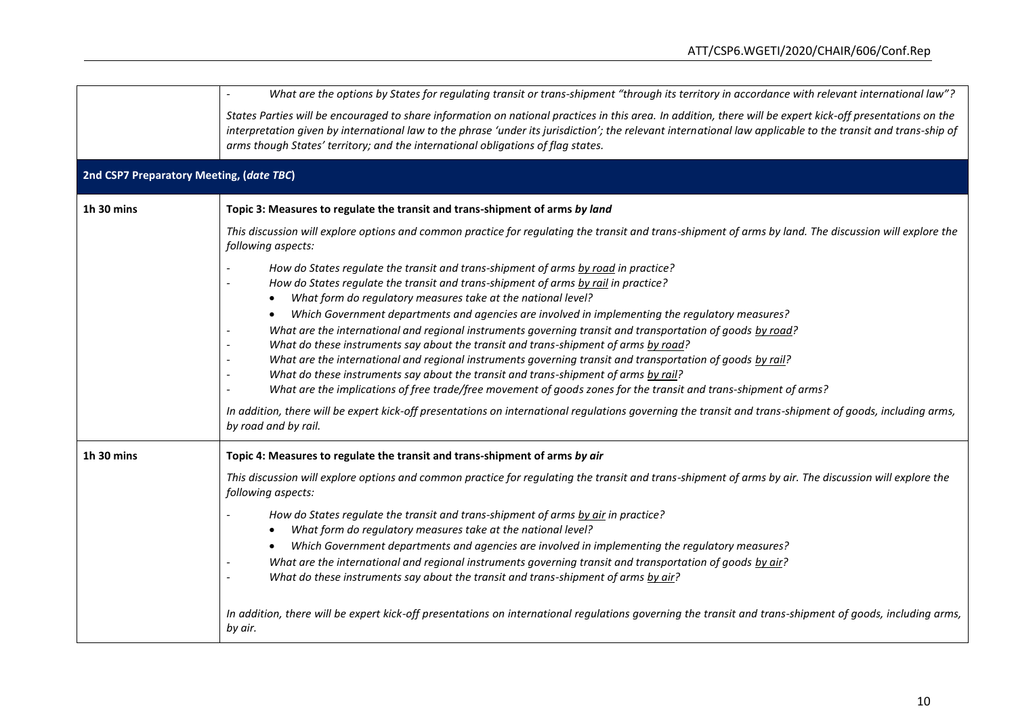|                                          | What are the options by States for regulating transit or trans-shipment "through its territory in accordance with relevant international law"?                                                                                                                                                                                                                                                                 |
|------------------------------------------|----------------------------------------------------------------------------------------------------------------------------------------------------------------------------------------------------------------------------------------------------------------------------------------------------------------------------------------------------------------------------------------------------------------|
|                                          | States Parties will be encouraged to share information on national practices in this area. In addition, there will be expert kick-off presentations on the<br>interpretation given by international law to the phrase 'under its jurisdiction'; the relevant international law applicable to the transit and trans-ship of<br>arms though States' territory; and the international obligations of flag states. |
| 2nd CSP7 Preparatory Meeting, (date TBC) |                                                                                                                                                                                                                                                                                                                                                                                                                |
| 1h 30 mins                               | Topic 3: Measures to regulate the transit and trans-shipment of arms by land                                                                                                                                                                                                                                                                                                                                   |
|                                          | This discussion will explore options and common practice for regulating the transit and trans-shipment of arms by land. The discussion will explore the<br>following aspects:                                                                                                                                                                                                                                  |
|                                          | How do States regulate the transit and trans-shipment of arms by road in practice?                                                                                                                                                                                                                                                                                                                             |
|                                          | How do States regulate the transit and trans-shipment of arms by rail in practice?                                                                                                                                                                                                                                                                                                                             |
|                                          | What form do regulatory measures take at the national level?<br>$\bullet$<br>Which Government departments and agencies are involved in implementing the regulatory measures?<br>$\bullet$                                                                                                                                                                                                                      |
|                                          | What are the international and regional instruments governing transit and transportation of goods by road?                                                                                                                                                                                                                                                                                                     |
|                                          | What do these instruments say about the transit and trans-shipment of arms by road?                                                                                                                                                                                                                                                                                                                            |
|                                          | What are the international and regional instruments governing transit and transportation of goods by rail?<br>What do these instruments say about the transit and trans-shipment of arms by rail?                                                                                                                                                                                                              |
|                                          | What are the implications of free trade/free movement of goods zones for the transit and trans-shipment of arms?                                                                                                                                                                                                                                                                                               |
|                                          | In addition, there will be expert kick-off presentations on international regulations governing the transit and trans-shipment of goods, including arms,<br>by road and by rail.                                                                                                                                                                                                                               |
| 1h 30 mins                               | Topic 4: Measures to regulate the transit and trans-shipment of arms by air                                                                                                                                                                                                                                                                                                                                    |
|                                          | This discussion will explore options and common practice for regulating the transit and trans-shipment of arms by air. The discussion will explore the<br>following aspects:                                                                                                                                                                                                                                   |
|                                          | How do States regulate the transit and trans-shipment of arms by air in practice?                                                                                                                                                                                                                                                                                                                              |
|                                          | What form do regulatory measures take at the national level?                                                                                                                                                                                                                                                                                                                                                   |
|                                          | Which Government departments and agencies are involved in implementing the regulatory measures?                                                                                                                                                                                                                                                                                                                |
|                                          | What are the international and regional instruments governing transit and transportation of goods by air?<br>What do these instruments say about the transit and trans-shipment of arms by air?                                                                                                                                                                                                                |
|                                          | In addition, there will be expert kick-off presentations on international regulations governing the transit and trans-shipment of goods, including arms,<br>by air.                                                                                                                                                                                                                                            |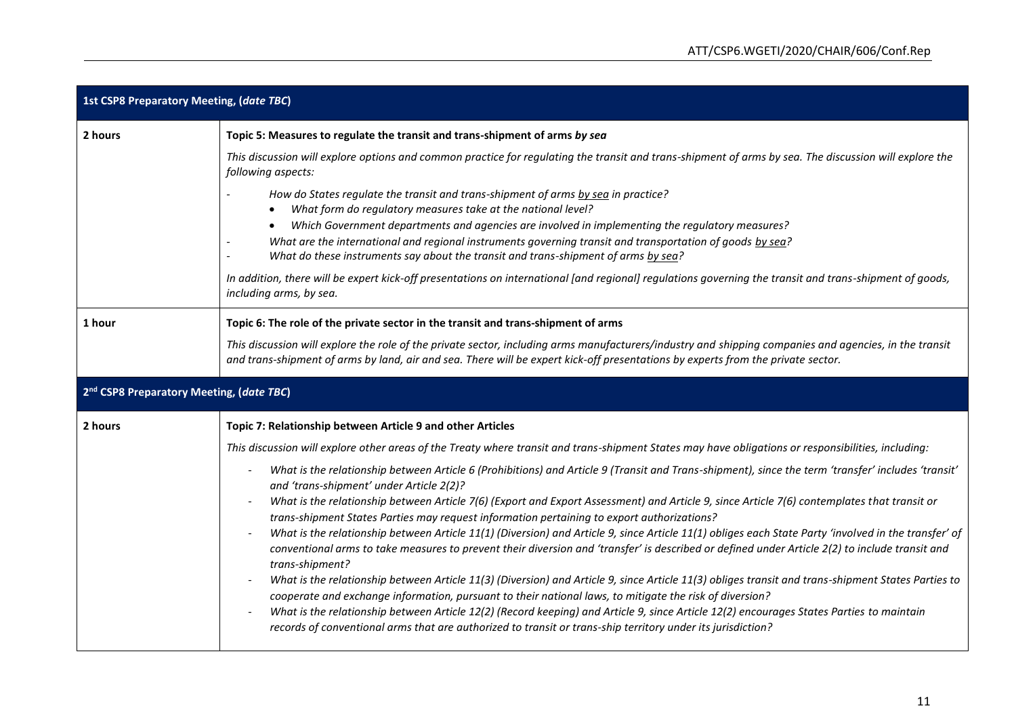| <b>1st CSP8 Preparatory Meeting, (date TBC)</b>      |                                                                                                                                                                                                                                                                                                                                                                                                                                                                      |  |
|------------------------------------------------------|----------------------------------------------------------------------------------------------------------------------------------------------------------------------------------------------------------------------------------------------------------------------------------------------------------------------------------------------------------------------------------------------------------------------------------------------------------------------|--|
| 2 hours                                              | Topic 5: Measures to regulate the transit and trans-shipment of arms by sea                                                                                                                                                                                                                                                                                                                                                                                          |  |
|                                                      | This discussion will explore options and common practice for regulating the transit and trans-shipment of arms by sea. The discussion will explore the<br>following aspects:                                                                                                                                                                                                                                                                                         |  |
|                                                      | How do States regulate the transit and trans-shipment of arms by sea in practice?<br>What form do regulatory measures take at the national level?<br>$\bullet$<br>Which Government departments and agencies are involved in implementing the regulatory measures?<br>What are the international and regional instruments governing transit and transportation of goods by sea?<br>What do these instruments say about the transit and trans-shipment of arms by sea? |  |
|                                                      | In addition, there will be expert kick-off presentations on international [and regional] regulations governing the transit and trans-shipment of goods,<br>including arms, by sea.                                                                                                                                                                                                                                                                                   |  |
| 1 hour                                               | Topic 6: The role of the private sector in the transit and trans-shipment of arms                                                                                                                                                                                                                                                                                                                                                                                    |  |
|                                                      | This discussion will explore the role of the private sector, including arms manufacturers/industry and shipping companies and agencies, in the transit<br>and trans-shipment of arms by land, air and sea. There will be expert kick-off presentations by experts from the private sector.                                                                                                                                                                           |  |
| 2 <sup>nd</sup> CSP8 Preparatory Meeting, (date TBC) |                                                                                                                                                                                                                                                                                                                                                                                                                                                                      |  |
| 2 hours                                              | Topic 7: Relationship between Article 9 and other Articles                                                                                                                                                                                                                                                                                                                                                                                                           |  |
|                                                      | This discussion will explore other areas of the Treaty where transit and trans-shipment States may have obligations or responsibilities, including:                                                                                                                                                                                                                                                                                                                  |  |
|                                                      | What is the relationship between Article 6 (Prohibitions) and Article 9 (Transit and Trans-shipment), since the term 'transfer' includes 'transit'<br>and 'trans-shipment' under Article 2(2)?                                                                                                                                                                                                                                                                       |  |
|                                                      | What is the relationship between Article 7(6) (Export and Export Assessment) and Article 9, since Article 7(6) contemplates that transit or<br>$\overline{\phantom{a}}$<br>trans-shipment States Parties may request information pertaining to export authorizations?                                                                                                                                                                                                |  |
|                                                      | What is the relationship between Article 11(1) (Diversion) and Article 9, since Article 11(1) obliges each State Party 'involved in the transfer' of<br>conventional arms to take measures to prevent their diversion and 'transfer' is described or defined under Article 2(2) to include transit and<br>trans-shipment?                                                                                                                                            |  |
|                                                      | What is the relationship between Article 11(3) (Diversion) and Article 9, since Article 11(3) obliges transit and trans-shipment States Parties to<br>cooperate and exchange information, pursuant to their national laws, to mitigate the risk of diversion?                                                                                                                                                                                                        |  |
|                                                      | What is the relationship between Article 12(2) (Record keeping) and Article 9, since Article 12(2) encourages States Parties to maintain<br>records of conventional arms that are authorized to transit or trans-ship territory under its jurisdiction?                                                                                                                                                                                                              |  |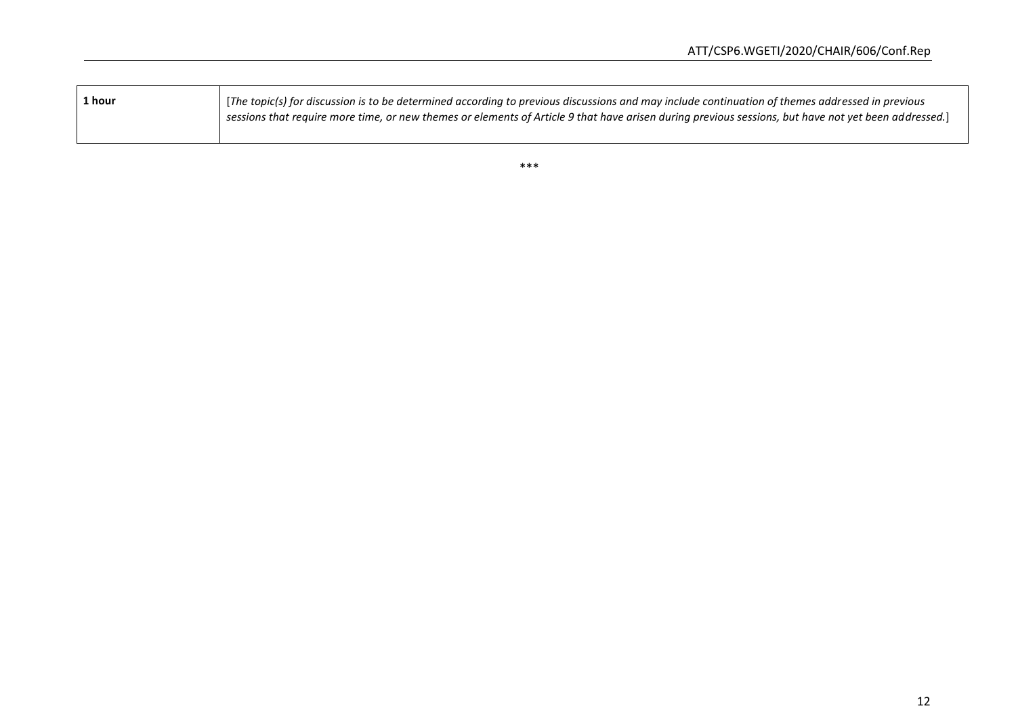| 1 hour | [The topic(s) for discussion is to be determined according to previous discussions and may include continuation of themes addressed in previous<br>$\mid$ sessions that require more time, or new themes or elements of Article 9 that have arisen during previous sessions, but have not yet been addressed.] |
|--------|----------------------------------------------------------------------------------------------------------------------------------------------------------------------------------------------------------------------------------------------------------------------------------------------------------------|
|        |                                                                                                                                                                                                                                                                                                                |

\*\*\*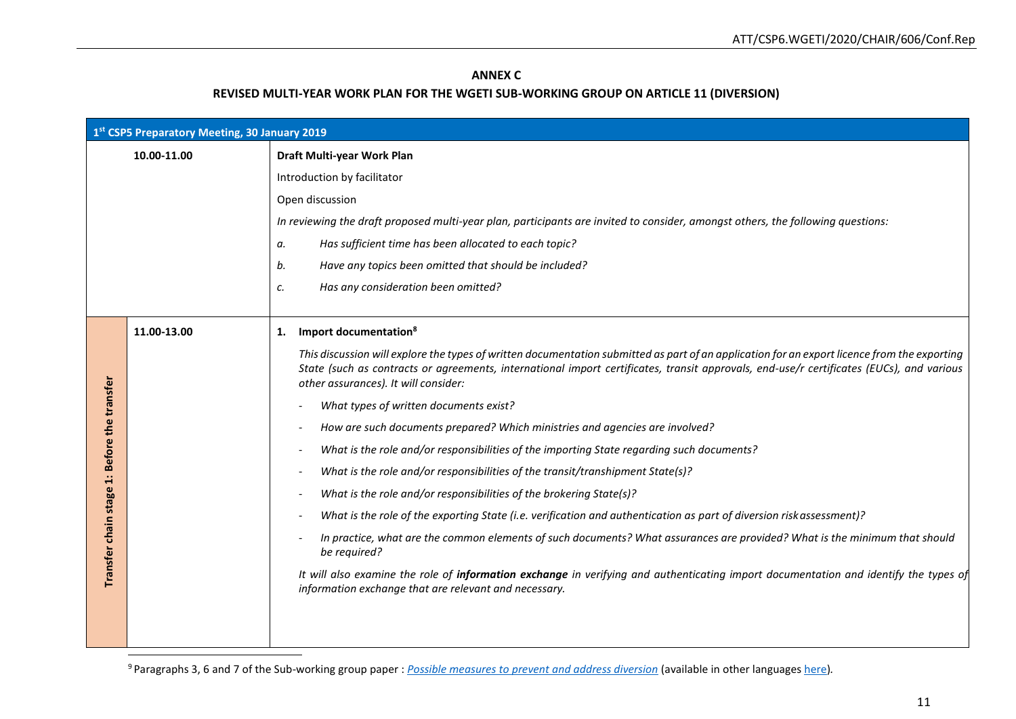## **ANNEX C**

## **REVISED MULTI-YEAR WORK PLAN FOR THE WGETI SUB-WORKING GROUP ON ARTICLE 11 (DIVERSION)**

| 1st CSP5 Preparatory Meeting, 30 January 2019 |             |                                                                                                                                                                                                                                                                                                                                  |
|-----------------------------------------------|-------------|----------------------------------------------------------------------------------------------------------------------------------------------------------------------------------------------------------------------------------------------------------------------------------------------------------------------------------|
|                                               | 10.00-11.00 | Draft Multi-year Work Plan                                                                                                                                                                                                                                                                                                       |
|                                               |             | Introduction by facilitator                                                                                                                                                                                                                                                                                                      |
|                                               |             | Open discussion                                                                                                                                                                                                                                                                                                                  |
|                                               |             | In reviewing the draft proposed multi-year plan, participants are invited to consider, amongst others, the following questions:                                                                                                                                                                                                  |
|                                               |             | Has sufficient time has been allocated to each topic?<br>а.                                                                                                                                                                                                                                                                      |
|                                               |             | b.<br>Have any topics been omitted that should be included?                                                                                                                                                                                                                                                                      |
|                                               |             | Has any consideration been omitted?<br>c.                                                                                                                                                                                                                                                                                        |
|                                               |             |                                                                                                                                                                                                                                                                                                                                  |
|                                               | 11.00-13.00 | Import documentation <sup>8</sup><br>1.                                                                                                                                                                                                                                                                                          |
|                                               |             | This discussion will explore the types of written documentation submitted as part of an application for an export licence from the exporting<br>State (such as contracts or agreements, international import certificates, transit approvals, end-use/r certificates (EUCs), and various<br>other assurances). It will consider: |
|                                               |             | What types of written documents exist?                                                                                                                                                                                                                                                                                           |
| Before the transfer                           |             | How are such documents prepared? Which ministries and agencies are involved?                                                                                                                                                                                                                                                     |
|                                               |             | What is the role and/or responsibilities of the importing State regarding such documents?                                                                                                                                                                                                                                        |
| $\ddot{ }$                                    |             | What is the role and/or responsibilities of the transit/transhipment State(s)?                                                                                                                                                                                                                                                   |
| stage                                         |             | What is the role and/or responsibilities of the brokering State(s)?                                                                                                                                                                                                                                                              |
|                                               |             | What is the role of the exporting State (i.e. verification and authentication as part of diversion risk assessment)?                                                                                                                                                                                                             |
| Transfer chain                                |             | In practice, what are the common elements of such documents? What assurances are provided? What is the minimum that should<br>be required?                                                                                                                                                                                       |
|                                               |             | It will also examine the role of information exchange in verifying and authenticating import documentation and identify the types of<br>information exchange that are relevant and necessary.                                                                                                                                    |
|                                               |             |                                                                                                                                                                                                                                                                                                                                  |

<sup>9</sup>Paragraphs 3, 6 and 7 of the Sub-working group paper : *[Possible measures to prevent and address diversion](https://www.thearmstradetreaty.org/hyper-images/file/Article%2011%20-%20Possible%20measures%20to%20prevent%20and%20address%20diversion/Article%2011%20-%20Possible%20measures%20to%20prevent%20and%20address%20diversion.pdf)* (available in other language[s here\)](https://www.thearmstradetreaty.org/tools-and-guidelines.html)*.*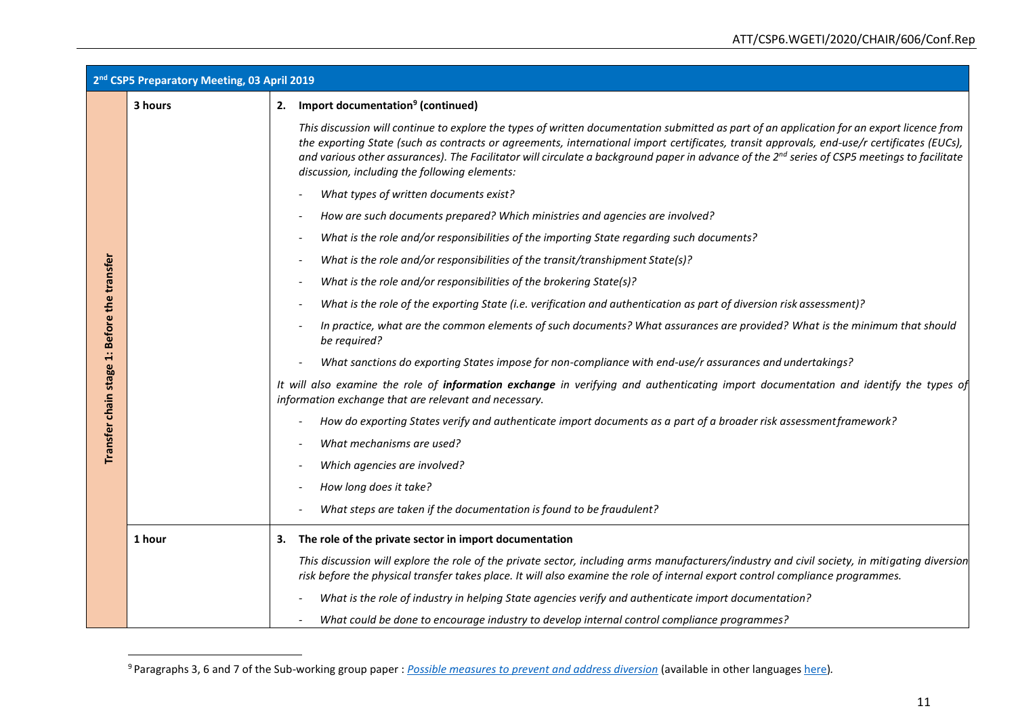| 2 <sup>nd</sup> CSP5 Preparatory Meeting, 03 April 2019 |         |                                                                                                                                                                                                                                                                                                                                                                                                                                                                                                       |
|---------------------------------------------------------|---------|-------------------------------------------------------------------------------------------------------------------------------------------------------------------------------------------------------------------------------------------------------------------------------------------------------------------------------------------------------------------------------------------------------------------------------------------------------------------------------------------------------|
|                                                         | 3 hours | 2. Import documentation <sup>9</sup> (continued)                                                                                                                                                                                                                                                                                                                                                                                                                                                      |
|                                                         |         | This discussion will continue to explore the types of written documentation submitted as part of an application for an export licence from<br>the exporting State (such as contracts or agreements, international import certificates, transit approvals, end-use/r certificates (EUCs),<br>and various other assurances). The Facilitator will circulate a background paper in advance of the 2 <sup>nd</sup> series of CSP5 meetings to facilitate<br>discussion, including the following elements: |
|                                                         |         | What types of written documents exist?                                                                                                                                                                                                                                                                                                                                                                                                                                                                |
|                                                         |         | How are such documents prepared? Which ministries and agencies are involved?                                                                                                                                                                                                                                                                                                                                                                                                                          |
|                                                         |         | What is the role and/or responsibilities of the importing State regarding such documents?                                                                                                                                                                                                                                                                                                                                                                                                             |
|                                                         |         | What is the role and/or responsibilities of the transit/transhipment State(s)?                                                                                                                                                                                                                                                                                                                                                                                                                        |
|                                                         |         | What is the role and/or responsibilities of the brokering State(s)?                                                                                                                                                                                                                                                                                                                                                                                                                                   |
|                                                         |         | What is the role of the exporting State (i.e. verification and authentication as part of diversion risk assessment)?                                                                                                                                                                                                                                                                                                                                                                                  |
|                                                         |         | In practice, what are the common elements of such documents? What assurances are provided? What is the minimum that should<br>be required?                                                                                                                                                                                                                                                                                                                                                            |
|                                                         |         | What sanctions do exporting States impose for non-compliance with end-use/r assurances and undertakings?                                                                                                                                                                                                                                                                                                                                                                                              |
| Transfer chain stage 1: Before the transfer             |         | It will also examine the role of information exchange in verifying and authenticating import documentation and identify the types of<br>information exchange that are relevant and necessary.                                                                                                                                                                                                                                                                                                         |
|                                                         |         | How do exporting States verify and authenticate import documents as a part of a broader risk assessment framework?                                                                                                                                                                                                                                                                                                                                                                                    |
|                                                         |         | What mechanisms are used?                                                                                                                                                                                                                                                                                                                                                                                                                                                                             |
|                                                         |         | Which agencies are involved?                                                                                                                                                                                                                                                                                                                                                                                                                                                                          |
|                                                         |         | How long does it take?                                                                                                                                                                                                                                                                                                                                                                                                                                                                                |
|                                                         |         | What steps are taken if the documentation is found to be fraudulent?                                                                                                                                                                                                                                                                                                                                                                                                                                  |
|                                                         | 1 hour  | 3. The role of the private sector in import documentation                                                                                                                                                                                                                                                                                                                                                                                                                                             |
|                                                         |         | This discussion will explore the role of the private sector, including arms manufacturers/industry and civil society, in mitigating diversion<br>risk before the physical transfer takes place. It will also examine the role of internal export control compliance programmes.                                                                                                                                                                                                                       |
|                                                         |         | What is the role of industry in helping State agencies verify and authenticate import documentation?                                                                                                                                                                                                                                                                                                                                                                                                  |
|                                                         |         | What could be done to encourage industry to develop internal control compliance programmes?                                                                                                                                                                                                                                                                                                                                                                                                           |

<sup>9</sup>Paragraphs 3, 6 and 7 of the Sub-working group paper : *[Possible measures to prevent and address diversion](https://www.thearmstradetreaty.org/hyper-images/file/Article%2011%20-%20Possible%20measures%20to%20prevent%20and%20address%20diversion/Article%2011%20-%20Possible%20measures%20to%20prevent%20and%20address%20diversion.pdf)* (available in other language[s here\)](https://www.thearmstradetreaty.org/tools-and-guidelines.html)*.*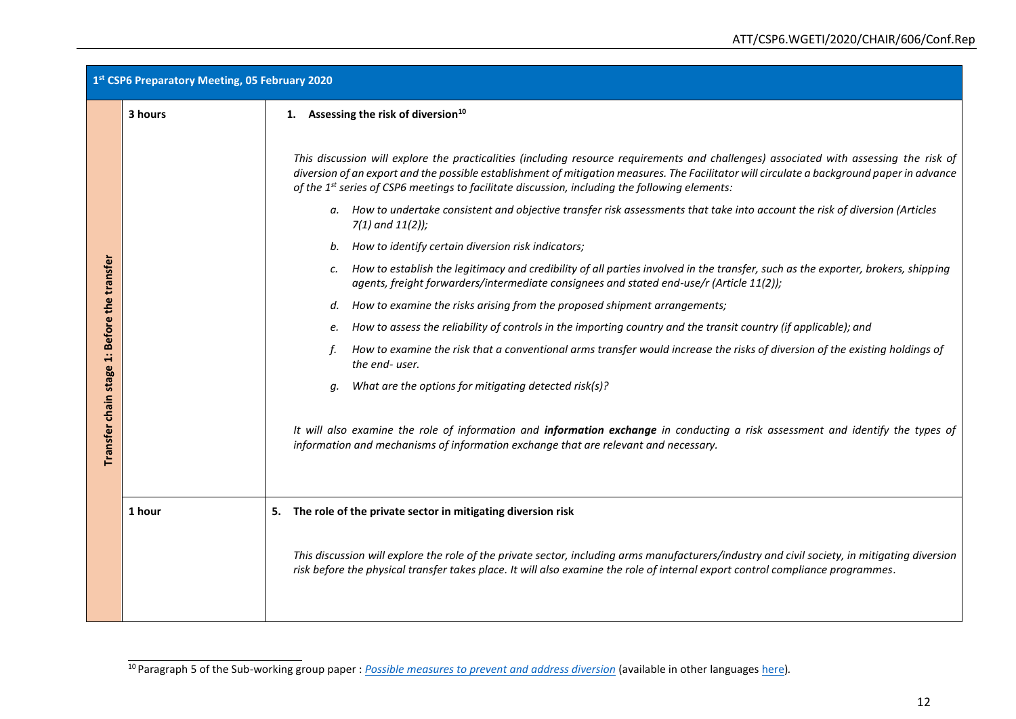| 1st CSP6 Preparatory Meeting, 05 February 2020 |         |                                                                                                                                                                                                                                                                                                                                                                                                    |
|------------------------------------------------|---------|----------------------------------------------------------------------------------------------------------------------------------------------------------------------------------------------------------------------------------------------------------------------------------------------------------------------------------------------------------------------------------------------------|
|                                                | 3 hours | 1. Assessing the risk of diversion <sup>10</sup>                                                                                                                                                                                                                                                                                                                                                   |
|                                                |         | This discussion will explore the practicalities (including resource requirements and challenges) associated with assessing the risk of<br>diversion of an export and the possible establishment of mitigation measures. The Facilitator will circulate a background paper in advance<br>of the 1 <sup>st</sup> series of CSP6 meetings to facilitate discussion, including the following elements: |
|                                                |         | a. How to undertake consistent and objective transfer risk assessments that take into account the risk of diversion (Articles<br>$7(1)$ and $11(2)$ );                                                                                                                                                                                                                                             |
|                                                |         | b. How to identify certain diversion risk indicators;                                                                                                                                                                                                                                                                                                                                              |
|                                                |         | How to establish the legitimacy and credibility of all parties involved in the transfer, such as the exporter, brokers, shipping<br>c.<br>agents, freight forwarders/intermediate consignees and stated end-use/r (Article 11(2));                                                                                                                                                                 |
|                                                |         | How to examine the risks arising from the proposed shipment arrangements;<br>d.                                                                                                                                                                                                                                                                                                                    |
|                                                |         | How to assess the reliability of controls in the importing country and the transit country (if applicable); and<br>е.                                                                                                                                                                                                                                                                              |
|                                                |         | How to examine the risk that a conventional arms transfer would increase the risks of diversion of the existing holdings of<br>the end-user.                                                                                                                                                                                                                                                       |
|                                                |         | What are the options for mitigating detected risk(s)?<br>a.                                                                                                                                                                                                                                                                                                                                        |
| Transfer chain stage 1: Before the transfer    |         | It will also examine the role of information and information exchange in conducting a risk assessment and identify the types of<br>information and mechanisms of information exchange that are relevant and necessary.                                                                                                                                                                             |
|                                                | 1 hour  | 5. The role of the private sector in mitigating diversion risk                                                                                                                                                                                                                                                                                                                                     |
|                                                |         | This discussion will explore the role of the private sector, including arms manufacturers/industry and civil society, in mitigating diversion<br>risk before the physical transfer takes place. It will also examine the role of internal export control compliance programmes.                                                                                                                    |

<sup>10</sup>Paragraph 5 of the Sub-working group paper : *[Possible measures to prevent and address diversion](https://www.thearmstradetreaty.org/hyper-images/file/Article%2011%20-%20Possible%20measures%20to%20prevent%20and%20address%20diversion/Article%2011%20-%20Possible%20measures%20to%20prevent%20and%20address%20diversion.pdf)* (available in other language[s here\)](https://www.thearmstradetreaty.org/tools-and-guidelines.html)*.*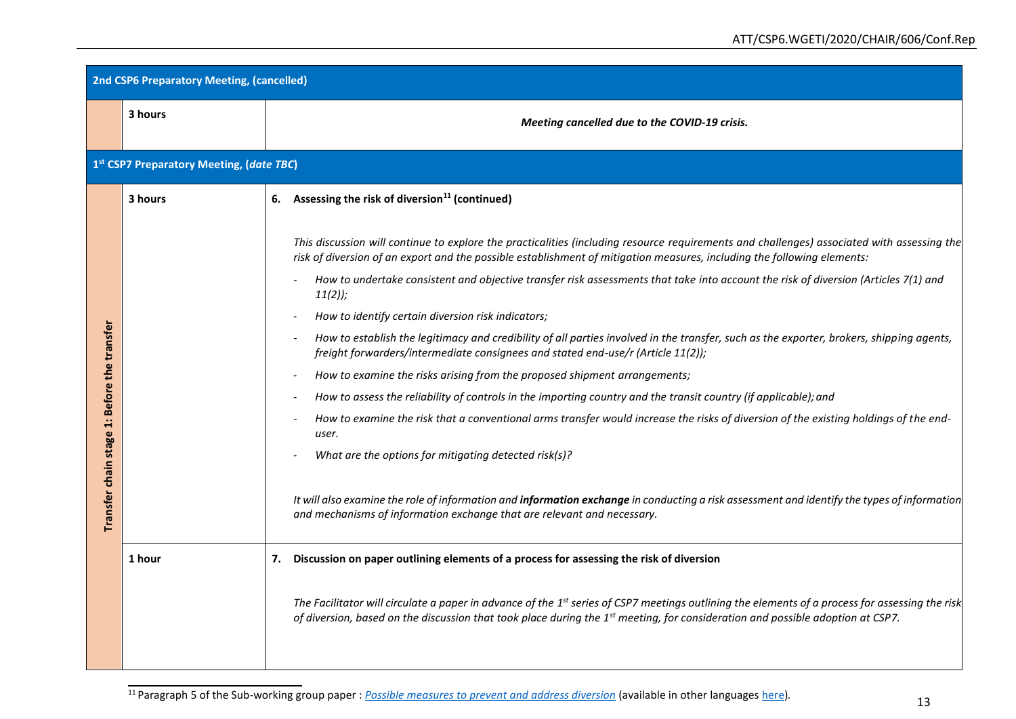| <b>2nd CSP6 Preparatory Meeting, (cancelled)</b> |         |                                                                                                                                                                                                                                                                                                           |  |  |  |
|--------------------------------------------------|---------|-----------------------------------------------------------------------------------------------------------------------------------------------------------------------------------------------------------------------------------------------------------------------------------------------------------|--|--|--|
|                                                  | 3 hours | Meeting cancelled due to the COVID-19 crisis.                                                                                                                                                                                                                                                             |  |  |  |
| 1st CSP7 Preparatory Meeting, (date TBC)         |         |                                                                                                                                                                                                                                                                                                           |  |  |  |
|                                                  | 3 hours | 6. Assessing the risk of diversion <sup>11</sup> (continued)                                                                                                                                                                                                                                              |  |  |  |
|                                                  |         | This discussion will continue to explore the practicalities (including resource requirements and challenges) associated with assessing the<br>risk of diversion of an export and the possible establishment of mitigation measures, including the following elements:                                     |  |  |  |
|                                                  |         | How to undertake consistent and objective transfer risk assessments that take into account the risk of diversion (Articles 7(1) and<br>$11(2)$ ;                                                                                                                                                          |  |  |  |
|                                                  |         | How to identify certain diversion risk indicators;                                                                                                                                                                                                                                                        |  |  |  |
|                                                  |         | How to establish the legitimacy and credibility of all parties involved in the transfer, such as the exporter, brokers, shipping agents,<br>freight forwarders/intermediate consignees and stated end-use/r (Article 11(2));                                                                              |  |  |  |
|                                                  |         | How to examine the risks arising from the proposed shipment arrangements;<br>$\overline{\phantom{a}}$                                                                                                                                                                                                     |  |  |  |
|                                                  |         | How to assess the reliability of controls in the importing country and the transit country (if applicable); and                                                                                                                                                                                           |  |  |  |
|                                                  |         | How to examine the risk that a conventional arms transfer would increase the risks of diversion of the existing holdings of the end-<br>user.                                                                                                                                                             |  |  |  |
|                                                  |         | What are the options for mitigating detected risk(s)?                                                                                                                                                                                                                                                     |  |  |  |
| Transfer chain stage 1: Before the transfer      |         | It will also examine the role of information and information exchange in conducting a risk assessment and identify the types of information<br>and mechanisms of information exchange that are relevant and necessary.                                                                                    |  |  |  |
|                                                  | 1 hour  | Discussion on paper outlining elements of a process for assessing the risk of diversion<br>7.                                                                                                                                                                                                             |  |  |  |
|                                                  |         | The Facilitator will circulate a paper in advance of the 1 <sup>st</sup> series of CSP7 meetings outlining the elements of a process for assessing the risk<br>of diversion, based on the discussion that took place during the 1 <sup>st</sup> meeting, for consideration and possible adoption at CSP7. |  |  |  |

<sup>11</sup>Paragraph 5 of the Sub-working group paper : *[Possible measures to prevent and address diversion](https://www.thearmstradetreaty.org/hyper-images/file/Article%2011%20-%20Possible%20measures%20to%20prevent%20and%20address%20diversion/Article%2011%20-%20Possible%20measures%20to%20prevent%20and%20address%20diversion.pdf)* (available in other language[s here\)](https://www.thearmstradetreaty.org/tools-and-guidelines.html)*.*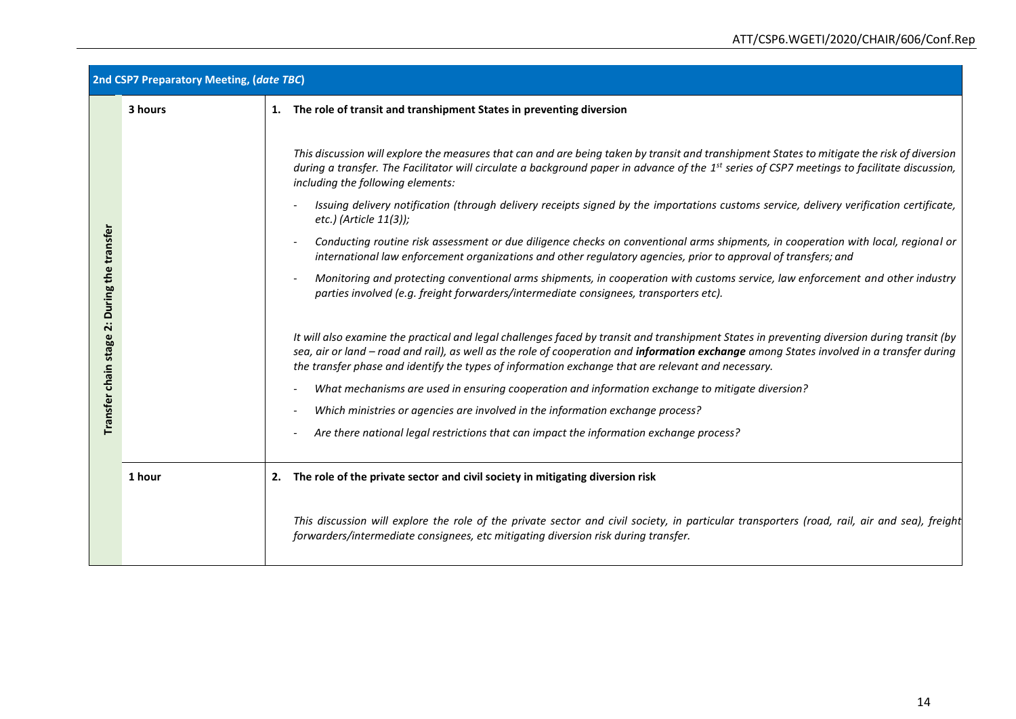| 2nd CSP7 Preparatory Meeting, (date TBC)                           |         |                                                                                                                                                                                                                                                                                                                                                                                                                                                                                                                                                                                                                                                                                                                                                                                                                                                                                                                                                                                                     |  |  |  |  |
|--------------------------------------------------------------------|---------|-----------------------------------------------------------------------------------------------------------------------------------------------------------------------------------------------------------------------------------------------------------------------------------------------------------------------------------------------------------------------------------------------------------------------------------------------------------------------------------------------------------------------------------------------------------------------------------------------------------------------------------------------------------------------------------------------------------------------------------------------------------------------------------------------------------------------------------------------------------------------------------------------------------------------------------------------------------------------------------------------------|--|--|--|--|
|                                                                    | 3 hours | 1. The role of transit and transhipment States in preventing diversion                                                                                                                                                                                                                                                                                                                                                                                                                                                                                                                                                                                                                                                                                                                                                                                                                                                                                                                              |  |  |  |  |
| During the transfer<br>$\ddot{\mathbf{v}}$<br>Transfer chain stage |         | This discussion will explore the measures that can and are being taken by transit and transhipment States to mitigate the risk of diversion<br>during a transfer. The Facilitator will circulate a background paper in advance of the 1 <sup>st</sup> series of CSP7 meetings to facilitate discussion,<br>including the following elements:<br>Issuing delivery notification (through delivery receipts signed by the importations customs service, delivery verification certificate,<br>etc.) (Article 11(3));<br>Conducting routine risk assessment or due diligence checks on conventional arms shipments, in cooperation with local, regional or<br>international law enforcement organizations and other regulatory agencies, prior to approval of transfers; and<br>Monitoring and protecting conventional arms shipments, in cooperation with customs service, law enforcement and other industry<br>parties involved (e.g. freight forwarders/intermediate consignees, transporters etc). |  |  |  |  |
|                                                                    |         | It will also examine the practical and legal challenges faced by transit and transhipment States in preventing diversion during transit (by<br>sea, air or land - road and rail), as well as the role of cooperation and information exchange among States involved in a transfer during<br>the transfer phase and identify the types of information exchange that are relevant and necessary.                                                                                                                                                                                                                                                                                                                                                                                                                                                                                                                                                                                                      |  |  |  |  |
|                                                                    |         | What mechanisms are used in ensuring cooperation and information exchange to mitigate diversion?                                                                                                                                                                                                                                                                                                                                                                                                                                                                                                                                                                                                                                                                                                                                                                                                                                                                                                    |  |  |  |  |
|                                                                    |         | Which ministries or agencies are involved in the information exchange process?                                                                                                                                                                                                                                                                                                                                                                                                                                                                                                                                                                                                                                                                                                                                                                                                                                                                                                                      |  |  |  |  |
|                                                                    |         | Are there national legal restrictions that can impact the information exchange process?                                                                                                                                                                                                                                                                                                                                                                                                                                                                                                                                                                                                                                                                                                                                                                                                                                                                                                             |  |  |  |  |
|                                                                    | 1 hour  | 2. The role of the private sector and civil society in mitigating diversion risk                                                                                                                                                                                                                                                                                                                                                                                                                                                                                                                                                                                                                                                                                                                                                                                                                                                                                                                    |  |  |  |  |
|                                                                    |         | This discussion will explore the role of the private sector and civil society, in particular transporters (road, rail, air and sea), freight<br>forwarders/intermediate consignees, etc mitigating diversion risk during transfer.                                                                                                                                                                                                                                                                                                                                                                                                                                                                                                                                                                                                                                                                                                                                                                  |  |  |  |  |